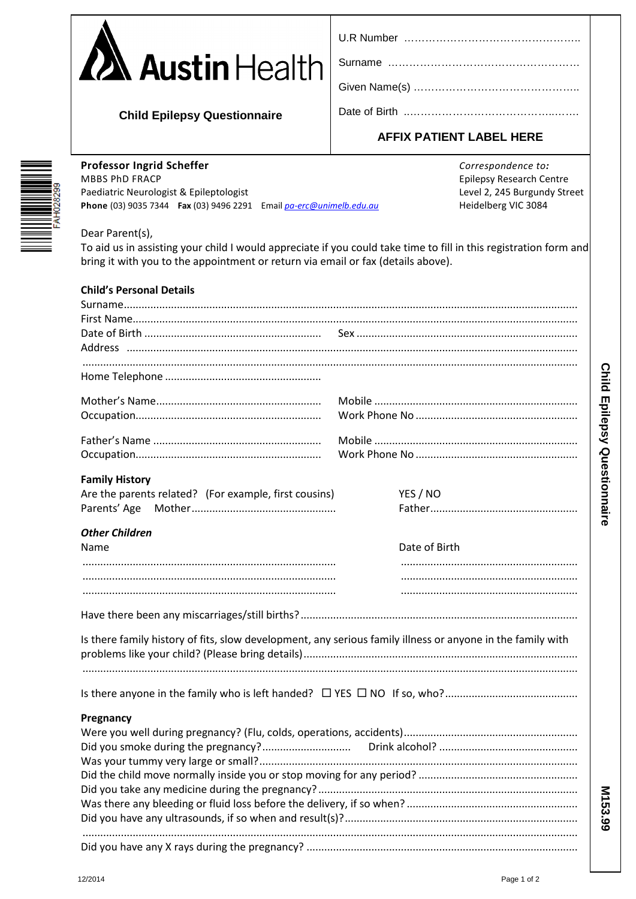| <b>A</b> Austin Health |
|------------------------|
|------------------------|

| U.R Number |  |
|------------|--|
|------------|--|

**Child Epilepsy Questionnaire** 

|  | AFFIX PATIENT LABEL HERE |  |
|--|--------------------------|--|

Professor Ingrid Scheffer **MBBS PhD FRACP** Paediatric Neurologist & Epileptologist Phone (03) 9035 7344 Fax (03) 9496 2291 Email pa-erc@unimelb.edu.au Correspondence to: **Epilepsy Research Centre** Level 2, 245 Burgundy Street Heidelberg VIC 3084

## Dear Parent(s),

To aid us in assisting your child I would appreciate if you could take time to fill in this registration form and bring it with you to the appointment or return via email or fax (details above).

| <b>Child's Personal Details</b>                                                                            |               |  |  |  |  |
|------------------------------------------------------------------------------------------------------------|---------------|--|--|--|--|
|                                                                                                            |               |  |  |  |  |
|                                                                                                            |               |  |  |  |  |
|                                                                                                            |               |  |  |  |  |
|                                                                                                            |               |  |  |  |  |
| <b>Family History</b><br>Are the parents related? (For example, first cousins)                             | YES / NO      |  |  |  |  |
| <b>Other Children</b><br>Name                                                                              | Date of Birth |  |  |  |  |
|                                                                                                            |               |  |  |  |  |
|                                                                                                            |               |  |  |  |  |
| Is there family history of fits, slow development, any serious family illness or anyone in the family with |               |  |  |  |  |
|                                                                                                            |               |  |  |  |  |
| Pregnancy                                                                                                  |               |  |  |  |  |
|                                                                                                            |               |  |  |  |  |